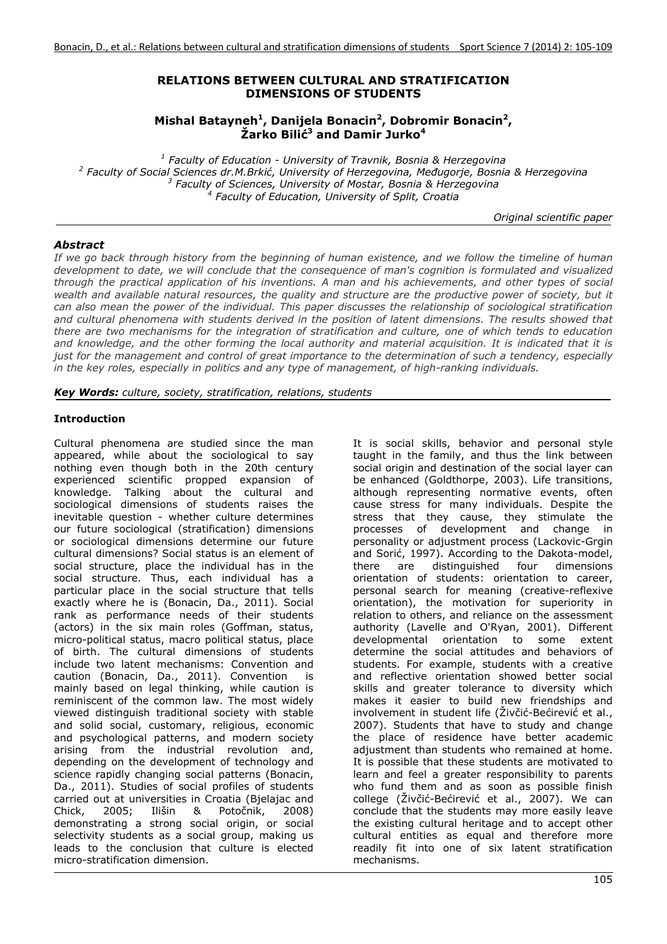### **RELATIONS BETWEEN CULTURAL AND STRATIFICATION DIMENSIONS OF STUDENTS**

### Mishal Batayneh<sup>1</sup>, Danijela Bonacin<sup>2</sup>, Dobromir Bonacin<sup>2</sup>, **Žarko Bilić3 and Damir Jurko4**

<sup>1</sup> Faculty of Education - University of Travnik, Bosnia & Herzegovina<br><sup>2</sup> Faculty of Social Sciences dr. M. Brkié, University of Herzegovina, Međugeria, Bosnia  *Faculty of Social Sciences dr.M.Brkić, University of Herzegovina, Međugorje, Bosnia & Herzegovina* <sup>3</sup> Faculty of Sciences, University of Mostar, Bosnia & Herzegovina<br><sup>4</sup> Faculty of Education, University of Split, Creatia  *Faculty of Education, University of Split, Croatia* 

*Original scientific paper*

## *Abstract*

*If we go back through history from the beginning of human existence, and we follow the timeline of human development to date, we will conclude that the consequence of man's cognition is formulated and visualized through the practical application of his inventions. A man and his achievements, and other types of social wealth and available natural resources, the quality and structure are the productive power of society, but it can also mean the power of the individual. This paper discusses the relationship of sociological stratification and cultural phenomena with students derived in the position of latent dimensions. The results showed that there are two mechanisms for the integration of stratification and culture, one of which tends to education*  and knowledge, and the other forming the local authority and material acquisition. It is indicated that it is *just for the management and control of great importance to the determination of such a tendency, especially in the key roles, especially in politics and any type of management, of high-ranking individuals.*

*Key Words: culture, society, stratification, relations, students* 

### **Introduction**

Cultural phenomena are studied since the man appeared, while about the sociological to say nothing even though both in the 20th century experienced scientific propped expansion of knowledge. Talking about the cultural and sociological dimensions of students raises the inevitable question - whether culture determines our future sociological (stratification) dimensions or sociological dimensions determine our future cultural dimensions? Social status is an element of social structure, place the individual has in the social structure. Thus, each individual has a particular place in the social structure that tells exactly where he is (Bonacin, Da., 2011). Social rank as performance needs of their students (actors) in the six main roles (Goffman, status, micro-political status, macro political status, place of birth. The cultural dimensions of students include two latent mechanisms: Convention and caution (Bonacin, Da., 2011). Convention is mainly based on legal thinking, while caution is reminiscent of the common law. The most widely viewed distinguish traditional society with stable and solid social, customary, religious, economic and psychological patterns, and modern society arising from the industrial revolution and, depending on the development of technology and science rapidly changing social patterns (Bonacin, Da., 2011). Studies of social profiles of students carried out at universities in Croatia (Bjelajac and Chick, 2005; Ilišin & Potočnik, 2008) demonstrating a strong social origin, or social selectivity students as a social group, making us leads to the conclusion that culture is elected micro-stratification dimension.

It is social skills, behavior and personal style taught in the family, and thus the link between social origin and destination of the social layer can be enhanced (Goldthorpe, 2003). Life transitions, although representing normative events, often cause stress for many individuals. Despite the stress that they cause, they stimulate the processes of development and change in personality or adjustment process (Lackovic-Grgin and Sorić, 1997). According to the Dakota-model, there are distinguished four dimensions orientation of students: orientation to career, personal search for meaning (creative-reflexive orientation), the motivation for superiority in relation to others, and reliance on the assessment authority (Lavelle and O'Ryan, 2001). Different developmental orientation to some extent determine the social attitudes and behaviors of students. For example, students with a creative and reflective orientation showed better social skills and greater tolerance to diversity which makes it easier to build new friendships and involvement in student life (Živčić-Bećirević et al., 2007). Students that have to study and change the place of residence have better academic adjustment than students who remained at home. It is possible that these students are motivated to learn and feel a greater responsibility to parents who fund them and as soon as possible finish college (Živčić-Bećirević et al., 2007). We can conclude that the students may more easily leave the existing cultural heritage and to accept other cultural entities as equal and therefore more readily fit into one of six latent stratification mechanisms.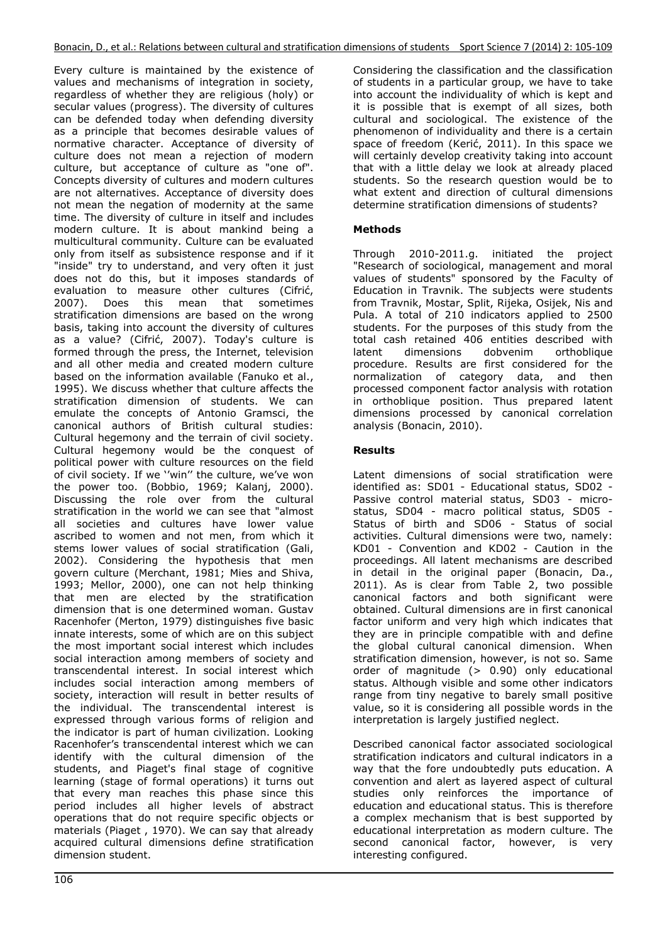Every culture is maintained by the existence of values and mechanisms of integration in society, regardless of whether they are religious (holy) or secular values (progress). The diversity of cultures can be defended today when defending diversity as a principle that becomes desirable values of normative character. Acceptance of diversity of culture does not mean a rejection of modern culture, but acceptance of culture as "one of". Concepts diversity of cultures and modern cultures are not alternatives. Acceptance of diversity does not mean the negation of modernity at the same time. The diversity of culture in itself and includes modern culture. It is about mankind being a multicultural community. Culture can be evaluated only from itself as subsistence response and if it "inside" try to understand, and very often it just does not do this, but it imposes standards of evaluation to measure other cultures (Cifrić, 2007). Does this mean that sometimes stratification dimensions are based on the wrong basis, taking into account the diversity of cultures as a value? (Cifrić, 2007). Today's culture is formed through the press, the Internet, television and all other media and created modern culture based on the information available (Fanuko et al., 1995). We discuss whether that culture affects the stratification dimension of students. We can emulate the concepts of Antonio Gramsci, the canonical authors of British cultural studies: Cultural hegemony and the terrain of civil society. Cultural hegemony would be the conquest of political power with culture resources on the field of civil society. If we ''win'' the culture, we've won the power too. (Bobbio, 1969; Kalanj, 2000). Discussing the role over from the cultural stratification in the world we can see that "almost all societies and cultures have lower value ascribed to women and not men, from which it stems lower values of social stratification (Gali, 2002). Considering the hypothesis that men govern culture (Merchant, 1981; Mies and Shiva, 1993; Mellor, 2000), one can not help thinking that men are elected by the stratification dimension that is one determined woman. Gustav Racenhofer (Merton, 1979) distinguishes five basic innate interests, some of which are on this subject the most important social interest which includes social interaction among members of society and transcendental interest. In social interest which includes social interaction among members of society, interaction will result in better results of the individual. The transcendental interest is expressed through various forms of religion and the indicator is part of human civilization. Looking Racenhofer's transcendental interest which we can identify with the cultural dimension of the students, and Piaget's final stage of cognitive learning (stage of formal operations) it turns out that every man reaches this phase since this period includes all higher levels of abstract operations that do not require specific objects or materials (Piaget , 1970). We can say that already acquired cultural dimensions define stratification dimension student.

Considering the classification and the classification of students in a particular group, we have to take into account the individuality of which is kept and it is possible that is exempt of all sizes, both cultural and sociological. The existence of the phenomenon of individuality and there is a certain space of freedom (Kerić, 2011). In this space we will certainly develop creativity taking into account that with a little delay we look at already placed students. So the research question would be to what extent and direction of cultural dimensions determine stratification dimensions of students?

## **Methods**

Through 2010-2011.g. initiated the project "Research of sociological, management and moral values of students" sponsored by the Faculty of Education in Travnik. The subjects were students from Travnik, Mostar, Split, Rijeka, Osijek, Nis and Pula. A total of 210 indicators applied to 2500 students. For the purposes of this study from the total cash retained 406 entities described with latent dimensions dobvenim orthoblique procedure. Results are first considered for the normalization of category data, and then processed component factor analysis with rotation in orthoblique position. Thus prepared latent dimensions processed by canonical correlation analysis (Bonacin, 2010).

## **Results**

Latent dimensions of social stratification were identified as: SD01 - Educational status, SD02 - Passive control material status, SD03 - microstatus, SD04 - macro political status, SD05 - Status of birth and SD06 - Status of social activities. Cultural dimensions were two, namely: KD01 - Convention and KD02 - Caution in the proceedings. All latent mechanisms are described in detail in the original paper (Bonacin, Da., 2011). As is clear from Table 2, two possible canonical factors and both significant were obtained. Cultural dimensions are in first canonical factor uniform and very high which indicates that they are in principle compatible with and define the global cultural canonical dimension. When stratification dimension, however, is not so. Same order of magnitude (> 0.90) only educational status. Although visible and some other indicators range from tiny negative to barely small positive value, so it is considering all possible words in the interpretation is largely justified neglect.

Described canonical factor associated sociological stratification indicators and cultural indicators in a way that the fore undoubtedly puts education. A convention and alert as layered aspect of cultural studies only reinforces the importance of education and educational status. This is therefore a complex mechanism that is best supported by educational interpretation as modern culture. The second canonical factor, however, is very interesting configured.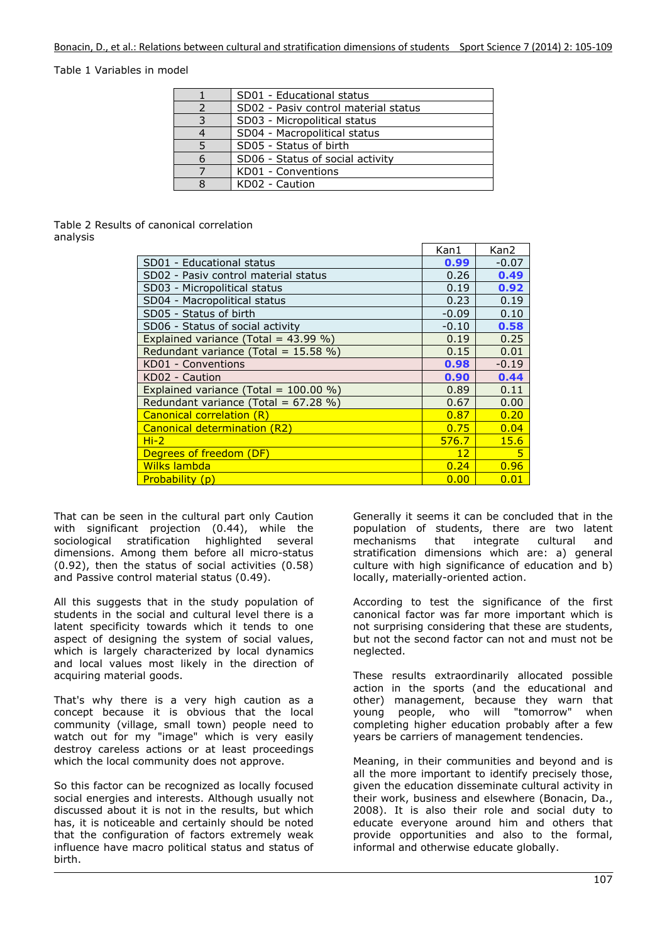#### Table 1 Variables in model

| SD01 - Educational status            |
|--------------------------------------|
| SD02 - Pasiv control material status |
| SD03 - Micropolitical status         |
| SD04 - Macropolitical status         |
| SD05 - Status of birth               |
| SD06 - Status of social activity     |
| KD01 - Conventions                   |
| KD02 - Caution                       |

#### Table 2 Results of canonical correlation analysis

|                                          | Kan1              | Kan2    |
|------------------------------------------|-------------------|---------|
| SD01 - Educational status                | 0.99              | $-0.07$ |
| SD02 - Pasiv control material status     | 0.26              | 0.49    |
| SD03 - Micropolitical status             | 0.19              | 0.92    |
| SD04 - Macropolitical status             | 0.23              | 0.19    |
| SD05 - Status of birth                   | $-0.09$           | 0.10    |
| SD06 - Status of social activity         | $-0.10$           | 0.58    |
| Explained variance (Total = $43.99\%$ )  | 0.19              | 0.25    |
| Redundant variance (Total = $15.58\%$ )  | 0.15              | 0.01    |
| KD01 - Conventions                       | 0.98              | $-0.19$ |
| KD02 - Caution                           | 0.90              | 0.44    |
| Explained variance (Total = $100.00\%$ ) | 0.89              | 0.11    |
| Redundant variance (Total = $67.28\%$ )  | 0.67              | 0.00    |
| Canonical correlation (R)                | 0.87              | 0.20    |
| Canonical determination (R2)             | 0.75              | 0.04    |
| $Hi-2$                                   | 576.7             | 15.6    |
| Degrees of freedom (DF)                  | $12 \overline{ }$ | 5       |
| Wilks lambda                             | 0.24              | 0.96    |
| Probability (p)                          | 0.00              | 0.01    |

That can be seen in the cultural part only Caution with significant projection (0.44), while the sociological stratification highlighted several dimensions. Among them before all micro-status (0.92), then the status of social activities (0.58) and Passive control material status (0.49).

All this suggests that in the study population of students in the social and cultural level there is a latent specificity towards which it tends to one aspect of designing the system of social values, which is largely characterized by local dynamics and local values most likely in the direction of acquiring material goods.

That's why there is a very high caution as a concept because it is obvious that the local community (village, small town) people need to watch out for my "image" which is very easily destroy careless actions or at least proceedings which the local community does not approve.

So this factor can be recognized as locally focused social energies and interests. Although usually not discussed about it is not in the results, but which has, it is noticeable and certainly should be noted that the configuration of factors extremely weak influence have macro political status and status of birth.

Generally it seems it can be concluded that in the population of students, there are two latent mechanisms that integrate cultural and stratification dimensions which are: a) general culture with high significance of education and b) locally, materially-oriented action.

According to test the significance of the first canonical factor was far more important which is not surprising considering that these are students, but not the second factor can not and must not be neglected.

These results extraordinarily allocated possible action in the sports (and the educational and other) management, because they warn that young people, who will "tomorrow" when completing higher education probably after a few years be carriers of management tendencies.

Meaning, in their communities and beyond and is all the more important to identify precisely those, given the education disseminate cultural activity in their work, business and elsewhere (Bonacin, Da., 2008). It is also their role and social duty to educate everyone around him and others that provide opportunities and also to the formal, informal and otherwise educate globally.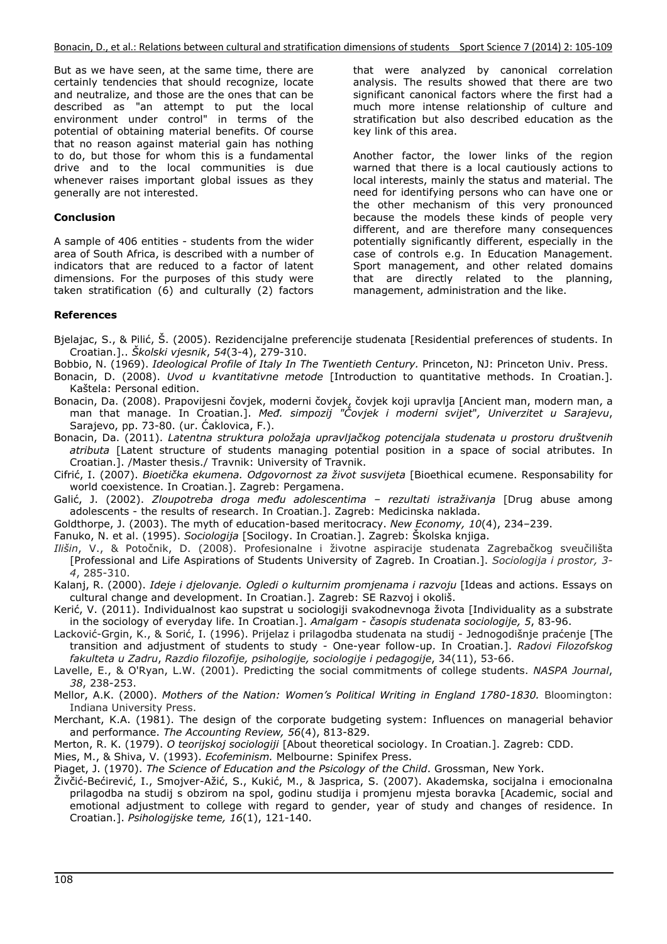But as we have seen, at the same time, there are certainly tendencies that should recognize, locate and neutralize, and those are the ones that can be described as "an attempt to put the local environment under control" in terms of the potential of obtaining material benefits. Of course that no reason against material gain has nothing to do, but those for whom this is a fundamental drive and to the local communities is due whenever raises important global issues as they generally are not interested.

#### **Conclusion**

A sample of 406 entities - students from the wider area of South Africa, is described with a number of indicators that are reduced to a factor of latent dimensions. For the purposes of this study were taken stratification (6) and culturally (2) factors that were analyzed by canonical correlation analysis. The results showed that there are two significant canonical factors where the first had a much more intense relationship of culture and stratification but also described education as the key link of this area.

Another factor, the lower links of the region warned that there is a local cautiously actions to local interests, mainly the status and material. The need for identifying persons who can have one or the other mechanism of this very pronounced because the models these kinds of people very different, and are therefore many consequences potentially significantly different, especially in the case of controls e.g. In Education Management. Sport management, and other related domains that are directly related to the planning, management, administration and the like.

#### **References**

Bjelajac, S., & Pilić, Š. (2005). Rezidencijalne preferencije studenata [Residential preferences of students. In Croatian.].. *Školski vjesnik*, *54*(3-4), 279-310.

- Bobbio, N. (1969). *Ideological Profile of Italy In The Twentieth Century.* Princeton, NJ: Princeton Univ. Press.
- Bonacin, D. (2008). *Uvod u kvantitativne metode* [Introduction to quantitative methods. In Croatian.]. Kaštela: Personal edition.
- Bonacin, Da. (2008). Prapovijesni čovjek, moderni čovjek, čovjek koji upravlja [Ancient man, modern man, a man that manage. In Croatian.]. *Međ. simpozij "Čovjek i moderni svijet*"*, Univerzitet u Sarajevu*, Sarajevo, pp. 73-80. (ur. Ćaklovica, F.).

Bonacin, Da. (2011). *Latentna struktura položaja upravljačkog potencijala studenata u prostoru društvenih atributa* [Latent structure of students managing potential position in a space of social atributes. In Croatian.]. /Master thesis./ Travnik: University of Travnik.

Cifrić, I. (2007). *Bioetička ekumena. Odgovornost za život susvijeta* [Bioethical ecumene. Responsability for world coexistence. In Croatian.]. Zagreb: Pergamena.

Galić, J. (2002). *Zloupotreba droga među adolescentima – rezultati istraživanja* [Drug abuse among adolescents - the results of research. In Croatian.]. Zagreb: Medicinska naklada.

Goldthorpe, J. (2003). The myth of education-based meritocracy. *New Economy, 10*(4), 234–239.

Fanuko, N. et al. (1995). *Sociologija* [Socilogy. In Croatian.]. Zagreb: Školska knjiga.

*Ilišin*, V., & Potočnik, D. (2008). Profesionalne i životne aspiracije studenata Zagrebačkog sveučilišta [Professional and Life Aspirations of Students University of Zagreb. In Croatian.]. *Sociologija i prostor, 3- 4*, 285-310.

Kalanj, R. (2000). *Ideje i djelovanje. Ogledi o kulturnim promjenama i razvoju* [Ideas and actions. Essays on cultural change and development. In Croatian.]. Zagreb: SE Razvoj i okoliš.

Kerić, V. (2011). Individualnost kao supstrat u sociologiji svakodnevnoga života [Individuality as a substrate in the sociology of everyday life. In Croatian.]. *Amalgam - časopis studenata sociologije, 5*, 83-96.

Lacković-Grgin, K., & Sorić, I. (1996). Prijelaz i prilagodba studenata na studij - Jednogodišnje praćenje [The transition and adjustment of students to study - One-year follow-up. In Croatian.]. *Radovi Filozofskog fakulteta u Zadru*, *Razdio filozofije, psihologije, sociologije i pedagogije*, 34(11), 53-66.

Lavelle, E., & O'Ryan, L.W. (2001). Predicting the social commitments of college students. *NASPA Journal*, *38*, 238-253.

Mellor, A.K. (2000). *Mothers of the Nation: Women's Political Writing in England 1780-1830.* Bloomington: Indiana University Press.

Merchant, K.A. (1981). The design of the corporate budgeting system: Influences on managerial behavior and performance. *The Accounting Review, 56*(4), 813-829.

Merton, R. K. (1979). *O teorijskoj sociologiji* [About theoretical sociology. In Croatian.]. Zagreb: CDD.

Mies, M., & Shiva, V. (1993). *Ecofeminism.* Melbourne: Spinifex Press.

Piaget, J. (1970). *The Science of Education and the Psicology of the Child*. Grossman, New York.

Živčić-Bećirević, I., Smojver-Ažić, S., Kukić, M., & Jasprica, S. (2007). Akademska, socijalna i emocionalna prilagodba na studij s obzirom na spol, godinu studija i promjenu mjesta boravka [Academic, social and emotional adjustment to college with regard to gender, year of study and changes of residence. In Croatian.]. *Psihologijske teme, 16*(1), 121-140.